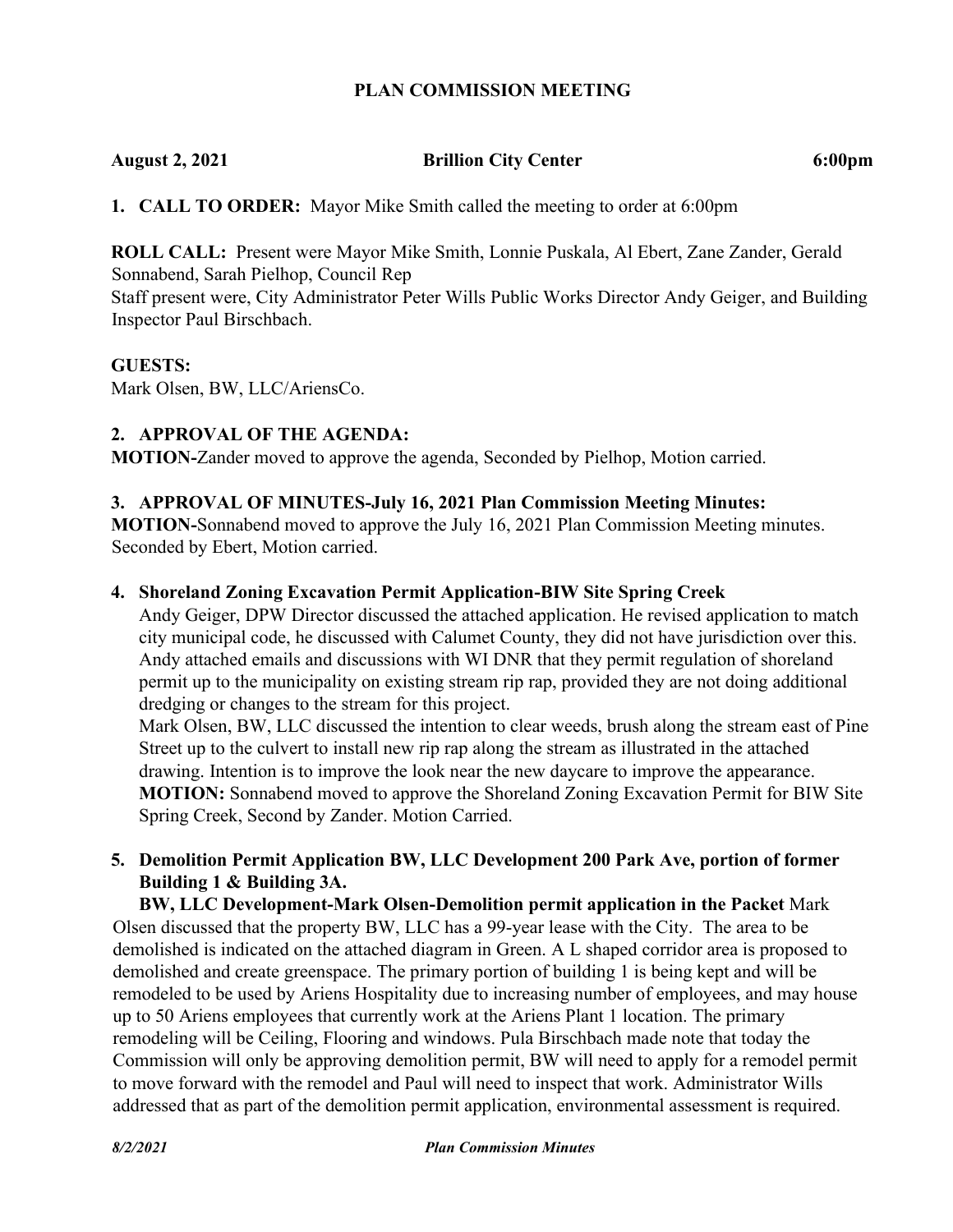### **PLAN COMMISSION MEETING**

## **August 2, 2021 Brillion City Center 6:00pm**

**1. CALL TO ORDER:** Mayor Mike Smith called the meeting to order at 6:00pm

**ROLL CALL:** Present were Mayor Mike Smith, Lonnie Puskala, Al Ebert, Zane Zander, Gerald Sonnabend, Sarah Pielhop, Council Rep

Staff present were, City Administrator Peter Wills Public Works Director Andy Geiger, and Building Inspector Paul Birschbach.

#### **GUESTS:**

Mark Olsen, BW, LLC/AriensCo.

### **2. APPROVAL OF THE AGENDA:**

**MOTION-**Zander moved to approve the agenda, Seconded by Pielhop, Motion carried.

#### **3. APPROVAL OF MINUTES-July 16, 2021 Plan Commission Meeting Minutes:**

**MOTION-**Sonnabend moved to approve the July 16, 2021 Plan Commission Meeting minutes. Seconded by Ebert, Motion carried.

#### **4. Shoreland Zoning Excavation Permit Application-BIW Site Spring Creek**

Andy Geiger, DPW Director discussed the attached application. He revised application to match city municipal code, he discussed with Calumet County, they did not have jurisdiction over this. Andy attached emails and discussions with WI DNR that they permit regulation of shoreland permit up to the municipality on existing stream rip rap, provided they are not doing additional dredging or changes to the stream for this project.

Mark Olsen, BW, LLC discussed the intention to clear weeds, brush along the stream east of Pine Street up to the culvert to install new rip rap along the stream as illustrated in the attached drawing. Intention is to improve the look near the new daycare to improve the appearance. **MOTION:** Sonnabend moved to approve the Shoreland Zoning Excavation Permit for BIW Site Spring Creek, Second by Zander. Motion Carried.

## **5. Demolition Permit Application BW, LLC Development 200 Park Ave, portion of former Building 1 & Building 3A.**

**BW, LLC Development-Mark Olsen-Demolition permit application in the Packet** Mark Olsen discussed that the property BW, LLC has a 99-year lease with the City. The area to be demolished is indicated on the attached diagram in Green. A L shaped corridor area is proposed to demolished and create greenspace. The primary portion of building 1 is being kept and will be remodeled to be used by Ariens Hospitality due to increasing number of employees, and may house up to 50 Ariens employees that currently work at the Ariens Plant 1 location. The primary remodeling will be Ceiling, Flooring and windows. Pula Birschbach made note that today the Commission will only be approving demolition permit, BW will need to apply for a remodel permit to move forward with the remodel and Paul will need to inspect that work. Administrator Wills addressed that as part of the demolition permit application, environmental assessment is required.